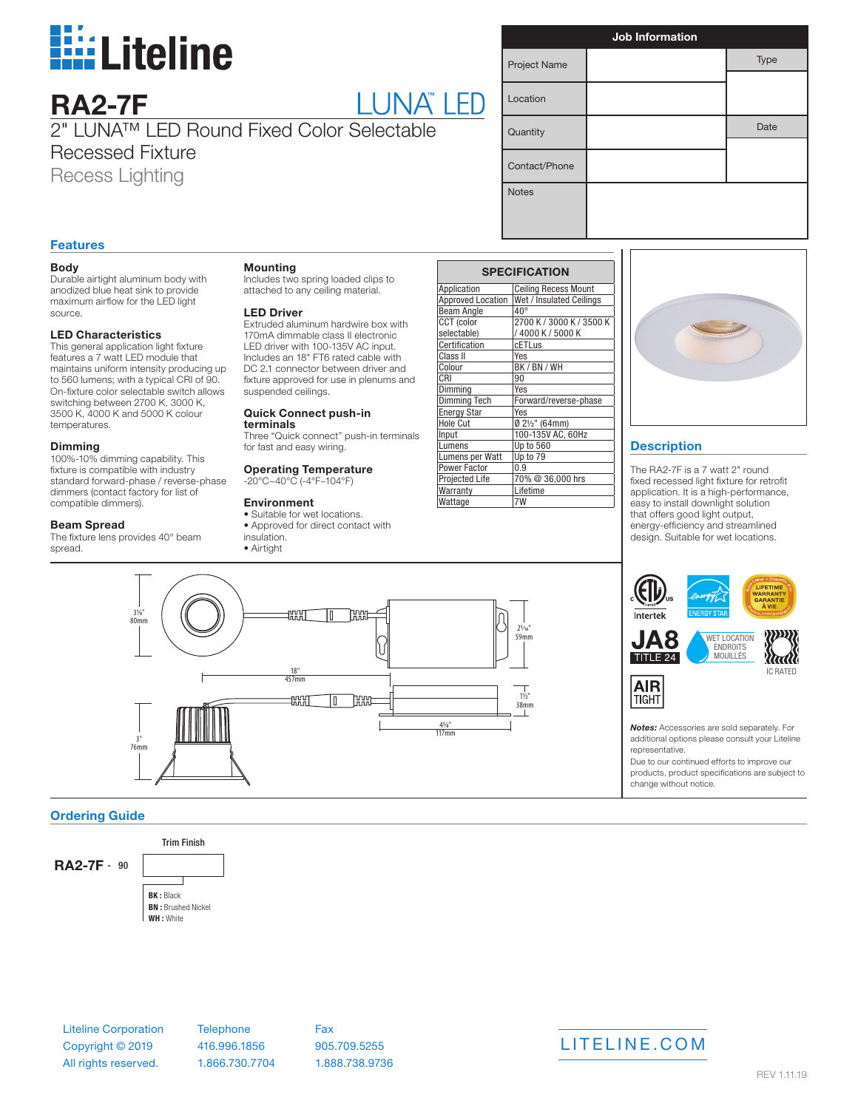

|  | <b>TM</b> |  |
|--|-----------|--|
|  |           |  |

2" LUNA™ LED Round Fixed Color Selectable Recessed Fixture Recess Lighting

| <b>Job Information</b> |  |      |  |  |
|------------------------|--|------|--|--|
| Project Name           |  | Type |  |  |
| Location               |  |      |  |  |
| Quantity               |  | Date |  |  |
| Contact/Phone          |  |      |  |  |
| <b>Notes</b>           |  |      |  |  |

# **Features**

**RA2-7F**

## **Body**

Durable airtight aluminum body with anodized blue heat sink to provide maximum airflow for the LED light source.

#### **LED Characteristics**

This general application light fixture features a 7 watt LED module that maintains uniform intensity producing up to 560 lumens; with a typical CRI of 90. On-fixture color selectable switch allows switching between 2700 K, 3000 K, 3500 K, 4000 K and 5000 K colour temperatures.

### **Dimming**

100%-10% dimming capability. This fixture is compatible with industry standard forward-phase / reverse-phase dimmers (contact factory for list of compatible dimmers).

## **Beam Spread**

The fixture lens provides 40° beam spread.

31⁄8"

3" 76mm

## **Mounting**

Includes two spring loaded clips to attached to any ceiling material.

#### **LED Driver**

Extruded aluminum hardwire box with 170mA dimmable class II electronic LED driver with 100-135V AC input. Includes an 18" FT6 rated cable with DC 2.1 connector between driver and fixture approved for use in plenums and suspended ceilings.

# **Quick Connect push-in**

**terminals** Three "Quick connect" push-in terminals for fast and easy wiring.

#### **Operating Temperature** -20°C~40°C (-4°F~104°F)

## **Environment**

• Suitable for wet locations. • Approved for direct contact with insulation. • Airtight

 $\begin{array}{c} 80\text{mm} \\ 1 \\ 1 \end{array}$   $\begin{array}{c} \begin{array}{c} \text{80}\text{mm} \\ \text{20}\text{mm} \end{array}$ 

1:C

 $\frac{18}{457mm}$ 

**THINE** 

| <b>SPECIFICATION</b>     |                             |  |  |  |
|--------------------------|-----------------------------|--|--|--|
| Application              | <b>Ceiling Recess Mount</b> |  |  |  |
| <b>Approved Location</b> | Wet / Insulated Ceilings    |  |  |  |
| <b>Beam Angle</b>        | $40^{\circ}$                |  |  |  |
| CCT (color               | 2700 K / 3000 K / 3500 K    |  |  |  |
| selectable)              | /4000K/5000K                |  |  |  |
| Certification            | <b>cETLus</b>               |  |  |  |
| Class II                 | Yes                         |  |  |  |
| Colour                   | BK / BN / WH                |  |  |  |
| CRI                      | 90                          |  |  |  |
| Dimming                  | Yes                         |  |  |  |
| <b>Dimming Tech</b>      | Forward/reverse-phase       |  |  |  |
| <b>Energy Star</b>       | Yes                         |  |  |  |
| <b>Hole Cut</b>          | Ø 2½" (64mm)                |  |  |  |
| Input                    | 100-135V AC, 60Hz           |  |  |  |
| Lumens                   | Up to 560                   |  |  |  |
| Lumens per Watt          | Up to 79                    |  |  |  |
| Power Factor             | በ 9                         |  |  |  |
| Projected Life           | 70% @ 36,000 hrs            |  |  |  |
| Warranty                 | Lifetime                    |  |  |  |
| Wattage                  |                             |  |  |  |

59mm

1½" 38mm

45⁄8" 117mm



# **Description**

The RA2-7F is a 7 watt 2" round fixed recessed light fixture for retrofit application. It is a high-performance, easy to install downlight solution that offers good light output, energy-efficiency and streamlined design. Suitable for wet locations.



*Notes:* Accessories are sold separately. For additional options please consult your Liteline representative.

Due to our continued efforts to improve our products, product specifications are subject to change without notice.

# **Ordering Guide**

Trim Finish **BK :** Black **BN :** Brushed Nickel **WH :** White **RA2-7F** - 90



Liteline Corporation Copyright © 2019

All rights reserved.

**Telephone** 416.996.1856 1.866.730.7704

Fax 905.709.5255 1.888.738.9736



REV 1.11.19